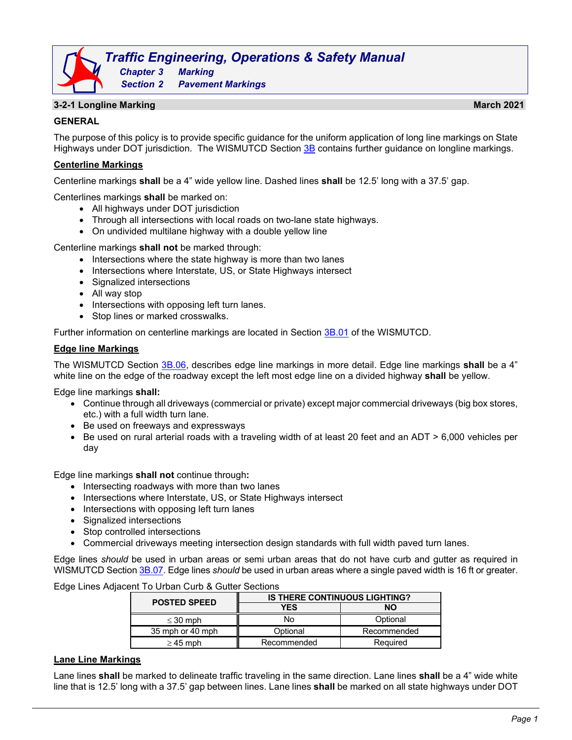# *Traffic Engineering, Operations & Safety Manual Chapter 3 Marking*

#### **3-2-1 Longline Marking March 2021**

#### **GENERAL**

The purpose of this policy is to provide specific guidance for the uniform application of long line markings on State Highways under DOT jurisdiction. The WISMUTCD Section [3B](https://wisconsindot.gov/dtsdManuals/traffic-ops/manuals-and-standards/wmutcd/mutcd-ch03.pdf) contains further guidance on longline markings.

#### **Centerline Markings**

Centerline markings **shall** be a 4" wide yellow line. Dashed lines **shall** be 12.5' long with a 37.5' gap.

Centerlines markings **shall** be marked on:

- All highways under DOT jurisdiction
- Through all intersections with local roads on two-lane state highways.
- On undivided multilane highway with a double yellow line

*Section 2 Pavement Markings*

Centerline markings **shall not** be marked through:

- Intersections where the state highway is more than two lanes
- Intersections where Interstate, US, or State Highways intersect
- Signalized intersections
- All way stop
- Intersections with opposing left turn lanes.
- Stop lines or marked crosswalks.

Further information on centerline markings are located in Section [3B.01](https://wisconsindot.gov/dtsdManuals/traffic-ops/manuals-and-standards/wmutcd/mutcd-ch03.pdf) of the WISMUTCD.

#### **Edge line Markings**

The WISMUTCD Section [3B.06,](http://wisconsindot.gov/dtsdManuals/traffic-ops/manuals-and-standards/mutcd-ch03.pdf) describes edge line markings in more detail. Edge line markings **shall** be a 4" white line on the edge of the roadway except the left most edge line on a divided highway **shall** be yellow.

Edge line markings **shall:**

- Continue through all driveways (commercial or private) except major commercial driveways (big box stores, etc.) with a full width turn lane.
- Be used on freeways and expressways
- Be used on rural arterial roads with a traveling width of at least 20 feet and an ADT > 6,000 vehicles per day

Edge line markings **shall not** continue through**:**

- Intersecting roadways with more than two lanes
- Intersections where Interstate, US, or State Highways intersect
- Intersections with opposing left turn lanes
- Signalized intersections
- Stop controlled intersections
- Commercial driveways meeting intersection design standards with full width paved turn lanes.

Edge lines *should* be used in urban areas or semi urban areas that do not have curb and gutter as required in WISMUTCD Section [3B.07.](http://wisconsindot.gov/dtsdManuals/traffic-ops/manuals-and-standards/mutcd-ch03.pdf) Edge lines *should* be used in urban areas where a single paved width is 16 ft or greater.

Edge Lines Adjacent To Urban Curb & Gutter Sections

| <b>POSTED SPEED</b> | <b>IS THERE CONTINUOUS LIGHTING?</b> |             |  |  |
|---------------------|--------------------------------------|-------------|--|--|
|                     | <b>YES</b>                           | <b>NO</b>   |  |  |
| $\leq$ 30 mph       | No                                   | Optional    |  |  |
| 35 mph or 40 mph    | Optional                             | Recommended |  |  |
| $\geq$ 45 mph       | Recommended                          | Required    |  |  |

#### **Lane Line Markings**

Lane lines **shall** be marked to delineate traffic traveling in the same direction. Lane lines **shall** be a 4" wide white line that is 12.5' long with a 37.5' gap between lines. Lane lines **shall** be marked on all state highways under DOT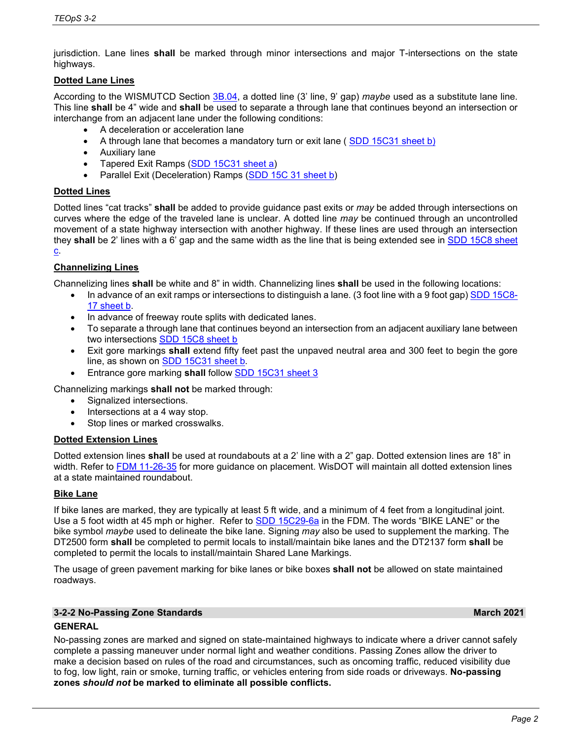jurisdiction. Lane lines **shall** be marked through minor intersections and major T-intersections on the state highways.

# **Dotted Lane Lines**

According to the WISMUTCD Section [3B.04,](http://wisconsindot.gov/dtsdManuals/traffic-ops/manuals-and-standards/mutcd-ch03.pdf) a dotted line (3' line, 9' gap) *maybe* used as a substitute lane line. This line **shall** be 4" wide and **shall** be used to separate a through lane that continues beyond an intersection or interchange from an adjacent lane under the following conditions:

- A deceleration or acceleration lane
- A through lane that becomes a mandatory turn or exit lane ([SDD 15C31 sheet b\)](https://wisconsindot.gov/rdwy/sdd/sd-15c31.pdf#1)
- Auxiliary lane
- Tapered Exit Ramps [\(SDD 15C31 sheet a\)](https://wisconsindot.gov/rdwy/sdd/sd-15c31.pdf#1)
- Parallel Exit (Deceleration) Ramps [\(SDD 15C 31 sheet b\)](https://wisconsindot.gov/rdwy/sdd/sd-15c31.pdf#1)

# **Dotted Lines**

Dotted lines "cat tracks" **shall** be added to provide guidance past exits or *may* be added through intersections on curves where the edge of the traveled lane is unclear. A dotted line *may* be continued through an uncontrolled movement of a state highway intersection with another highway. If these lines are used through an intersection they **shall** be 2' lines with a 6' gap and the same width as the line that is being extended see in [SDD 15C8 sheet](http://wisconsindot.gov/rdwy/sdd/sd-15c08.pdf#sd15c8-a) 

#### $\underline{\mathbf{c}}$ .

# **Channelizing Lines**

Channelizing lines **shall** be white and 8" in width. Channelizing lines **shall** be used in the following locations:

- In advance of an exit ramps or intersections to distinguish a lane. (3 foot line with a 9 foot gap[\) SDD 15C8-](http://wisconsindot.gov/rdwy/sdd/sd-15c08.pdf#sd15c8-a) [17 sheet b.](http://wisconsindot.gov/rdwy/sdd/sd-15c08.pdf#sd15c8-a)
- In advance of freeway route splits with dedicated lanes.
- To separate a through lane that continues beyond an intersection from an adjacent auxiliary lane between two intersections [SDD 15C8](http://wisconsindot.gov/rdwy/sdd/sd-15c08.pdf#sd15c8-a) sheet b
- Exit gore markings **shall** extend fifty feet past the unpaved neutral area and 300 feet to begin the gore line, as shown on [SDD 15C31 sheet b.](http://wisconsindot.gov/rdwy/sdd/sd-15c31.pdf#sd15c31-a)
- Entrance gore marking **shall** follow [SDD 15C31](https://wisconsindot.gov/rdwy/sdd/sd-15c31.pdf#page=1) sheet 3

Channelizing markings **shall not** be marked through:

- Signalized intersections.
- Intersections at a 4 way stop.
- Stop lines or marked crosswalks.

# **Dotted Extension Lines**

Dotted extension lines **shall** be used at roundabouts at a 2' line with a 2" gap. Dotted extension lines are 18" in width. Refer to [FDM 11-26-35](https://wisconsindot.gov/rdwy/fdm/fd-11-26.pdf#fd11-26-35) for more guidance on placement. WisDOT will maintain all dotted extension lines at a state maintained roundabout.

# **Bike Lane**

If bike lanes are marked, they are typically at least 5 ft wide, and a minimum of 4 feet from a longitudinal joint. Use a 5 foot width at 45 mph or higher. Refer to [SDD 15C29-](http://wisconsindot.gov/rdwy/sdd/sd-15c29.pdf#1)6a in the FDM. The words "BIKE LANE" or the bike symbol *maybe* used to delineate the bike lane. Signing *may* also be used to supplement the marking. The DT2500 form **shall** be completed to permit locals to install/maintain bike lanes and the DT2137 form **shall** be completed to permit the locals to install/maintain Shared Lane Markings.

The usage of green pavement marking for bike lanes or bike boxes **shall not** be allowed on state maintained roadways.

# **3-2-2 No-Passing Zone Standards March 2021**

# **GENERAL**

No-passing zones are marked and signed on state-maintained highways to indicate where a driver cannot safely complete a passing maneuver under normal light and weather conditions. Passing Zones allow the driver to make a decision based on rules of the road and circumstances, such as oncoming traffic, reduced visibility due to fog, low light, rain or smoke, turning traffic, or vehicles entering from side roads or driveways. **No-passing zones** *should not* **be marked to eliminate all possible conflicts.**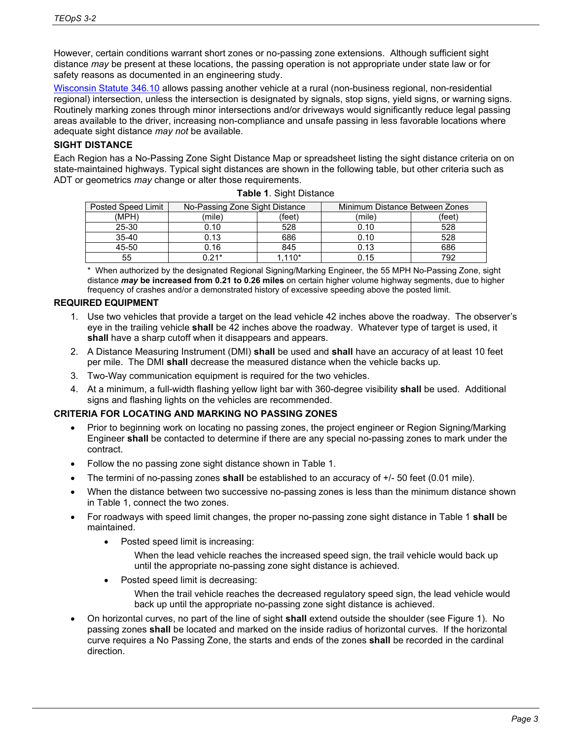However, certain conditions warrant short zones or no-passing zone extensions. Although sufficient sight distance *may* be present at these locations, the passing operation is not appropriate under state law or for safety reasons as documented in an engineering study.

[Wisconsin Statute 346.10](https://docs.legis.wisconsin.gov/1969/statutes/statutes/346.pdf) allows passing another vehicle at a rural (non-business regional, non-residential regional) intersection, unless the intersection is designated by signals, stop signs, yield signs, or warning signs. Routinely marking zones through minor intersections and/or driveways would significantly reduce legal passing areas available to the driver, increasing non-compliance and unsafe passing in less favorable locations where adequate sight distance *may not* be available.

# **SIGHT DISTANCE**

Each Region has a No-Passing Zone Sight Distance Map or spreadsheet listing the sight distance criteria on on state-maintained highways. Typical sight distances are shown in the following table, but other criteria such as ADT or geometrics *may* change or alter those requirements.

| Posted Speed Limit | No-Passing Zone Sight Distance |        | Minimum Distance Between Zones |        |
|--------------------|--------------------------------|--------|--------------------------------|--------|
| (MPH)              | (mile)                         | (feet) | (mile)                         | (feet) |
| 25-30              | 0.10                           | 528    | 0.10                           | 528    |
| $35 - 40$          | 0.13                           | 686    | 0.10                           | 528    |
| 45-50              | 0.16                           | 845    | 0.13                           | 686    |
| 55                 | በ 21*                          | .110*  | 0.15                           | 792    |

**Table 1**. Sight Distance

\* When authorized by the designated Regional Signing/Marking Engineer, the 55 MPH No-Passing Zone, sight distance *may* **be increased from 0.21 to 0.26 miles** on certain higher volume highway segments, due to higher frequency of crashes and/or a demonstrated history of excessive speeding above the posted limit.

# **REQUIRED EQUIPMENT**

- 1. Use two vehicles that provide a target on the lead vehicle 42 inches above the roadway. The observer's eye in the trailing vehicle **shall** be 42 inches above the roadway. Whatever type of target is used, it **shall** have a sharp cutoff when it disappears and appears.
- 2. A Distance Measuring Instrument (DMI) **shall** be used and **shall** have an accuracy of at least 10 feet per mile. The DMI **shall** decrease the measured distance when the vehicle backs up.
- 3. Two-Way communication equipment is required for the two vehicles.
- 4. At a minimum, a full-width flashing yellow light bar with 360-degree visibility **shall** be used. Additional signs and flashing lights on the vehicles are recommended.

#### **CRITERIA FOR LOCATING AND MARKING NO PASSING ZONES**

- Prior to beginning work on locating no passing zones, the project engineer or Region Signing/Marking Engineer **shall** be contacted to determine if there are any special no-passing zones to mark under the contract.
- Follow the no passing zone sight distance shown in Table 1.
- The termini of no-passing zones **shall** be established to an accuracy of +/- 50 feet (0.01 mile).
- When the distance between two successive no-passing zones is less than the minimum distance shown in Table 1, connect the two zones.
- For roadways with speed limit changes, the proper no-passing zone sight distance in Table 1 **shall** be maintained.
	- Posted speed limit is increasing:
		- When the lead vehicle reaches the increased speed sign, the trail vehicle would back up until the appropriate no-passing zone sight distance is achieved.
	- Posted speed limit is decreasing:

When the trail vehicle reaches the decreased regulatory speed sign, the lead vehicle would back up until the appropriate no-passing zone sight distance is achieved.

• On horizontal curves, no part of the line of sight **shall** extend outside the shoulder (see Figure 1). No passing zones **shall** be located and marked on the inside radius of horizontal curves. If the horizontal curve requires a No Passing Zone, the starts and ends of the zones **shall** be recorded in the cardinal direction.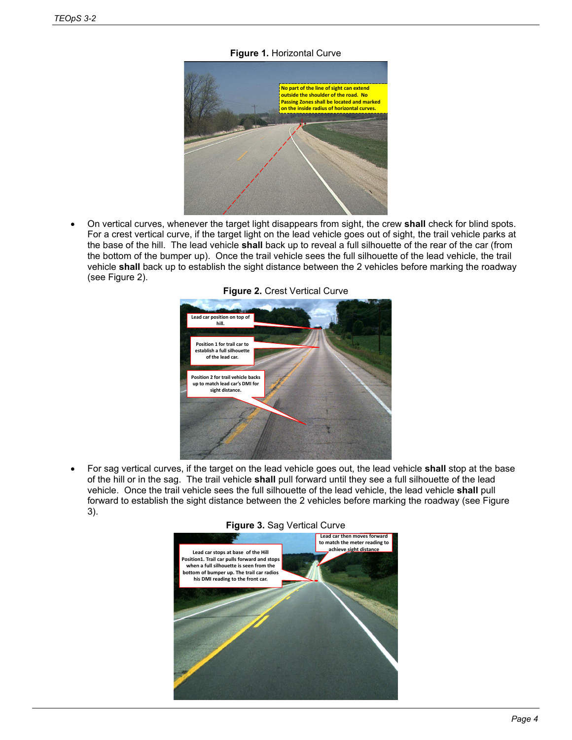**Figure 1.** Horizontal Curve



• On vertical curves, whenever the target light disappears from sight, the crew **shall** check for blind spots. For a crest vertical curve, if the target light on the lead vehicle goes out of sight, the trail vehicle parks at the base of the hill. The lead vehicle **shall** back up to reveal a full silhouette of the rear of the car (from the bottom of the bumper up). Once the trail vehicle sees the full silhouette of the lead vehicle, the trail vehicle **shall** back up to establish the sight distance between the 2 vehicles before marking the roadway (see Figure 2).



**Figure 2.** Crest Vertical Curve

• For sag vertical curves, if the target on the lead vehicle goes out, the lead vehicle **shall** stop at the base of the hill or in the sag. The trail vehicle **shall** pull forward until they see a full silhouette of the lead vehicle. Once the trail vehicle sees the full silhouette of the lead vehicle, the lead vehicle **shall** pull forward to establish the sight distance between the 2 vehicles before marking the roadway (see Figure 3).



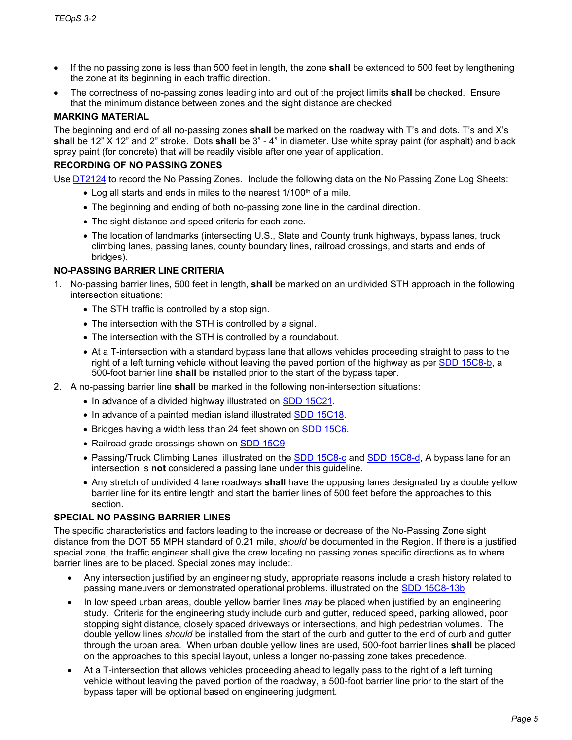- If the no passing zone is less than 500 feet in length, the zone **shall** be extended to 500 feet by lengthening the zone at its beginning in each traffic direction.
- The correctness of no-passing zones leading into and out of the project limits **shall** be checked. Ensure that the minimum distance between zones and the sight distance are checked.

#### **MARKING MATERIAL**

The beginning and end of all no-passing zones **shall** be marked on the roadway with T's and dots. T's and X's **shall** be 12" X 12" and 2" stroke. Dots **shall** be 3" - 4" in diameter. Use white spray paint (for asphalt) and black spray paint (for concrete) that will be readily visible after one year of application.

#### **RECORDING OF NO PASSING ZONES**

Use [DT2124](http://www.dot.wisconsin.gov/forms/docs/dt2124.doc) to record the No Passing Zones. Include the following data on the No Passing Zone Log Sheets:

- $\bullet$  Log all starts and ends in miles to the nearest 1/100<sup>th</sup> of a mile.
- The beginning and ending of both no-passing zone line in the cardinal direction.
- The sight distance and speed criteria for each zone.
- The location of landmarks (intersecting U.S., State and County trunk highways, bypass lanes, truck climbing lanes, passing lanes, county boundary lines, railroad crossings, and starts and ends of bridges).

# **NO-PASSING BARRIER LINE CRITERIA**

- 1. No-passing barrier lines, 500 feet in length, **shall** be marked on an undivided STH approach in the following intersection situations:
	- The STH traffic is controlled by a stop sign.
	- The intersection with the STH is controlled by a signal.
	- The intersection with the STH is controlled by a roundabout.
	- At a T-intersection with a standard bypass lane that allows vehicles proceeding straight to pass to the right of a left turning vehicle without leaving the paved portion of the highway as per [SDD 15C8-b,](http://roadwaystandards.dot.wi.gov/standards/fdm/SDD/15c08.pdf#1) a 500-foot barrier line **shall** be installed prior to the start of the bypass taper.
- 2. A no-passing barrier line **shall** be marked in the following non-intersection situations:
	- In advance of a divided highway illustrated on **SDD 15C21**.
	- In advance of a painted median island illustrated [SDD 15C18.](http://roadwaystandards.dot.wi.gov/standards/fdm/SDD/15c18.pdf#sd15c18)
	- Bridges having a width less than 24 feet shown on [SDD 15C6.](http://roadwaystandards.dot.wi.gov/standards/fdm/SDD/15c06.pdf#sd15c6)
	- Railroad grade crossings shown on [SDD 15C9.](http://roadwaystandards.dot.wi.gov/standards/fdm/SDD/15c09.pdf#1)
	- Passing/Truck Climbing Lanes illustrated on the **SDD 15C8-c** and **SDD 15C8-d**, A bypass lane for an intersection is **not** considered a passing lane under this guideline.
	- Any stretch of undivided 4 lane roadways **shall** have the opposing lanes designated by a double yellow barrier line for its entire length and start the barrier lines of 500 feet before the approaches to this section.

# **SPECIAL NO PASSING BARRIER LINES**

The specific characteristics and factors leading to the increase or decrease of the No-Passing Zone sight distance from the DOT 55 MPH standard of 0.21 mile, *should* be documented in the Region. If there is a justified special zone, the traffic engineer shall give the crew locating no passing zones specific directions as to where barrier lines are to be placed. Special zones may include:.

- Any intersection justified by an engineering study, appropriate reasons include a crash history related to passing maneuvers or demonstrated operational problems. illustrated on the [SDD 15C8-13b](http://roadwaystandards.dot.wi.gov/standards/fdm/SDD/15c08.pdf#1)
- In low speed urban areas, double yellow barrier lines *may* be placed when justified by an engineering study. Criteria for the engineering study include curb and gutter, reduced speed, parking allowed, poor stopping sight distance, closely spaced driveways or intersections, and high pedestrian volumes. The double yellow lines *should* be installed from the start of the curb and gutter to the end of curb and gutter through the urban area. When urban double yellow lines are used, 500-foot barrier lines **shall** be placed on the approaches to this special layout, unless a longer no-passing zone takes precedence.
- At a T-intersection that allows vehicles proceeding ahead to legally pass to the right of a left turning vehicle without leaving the paved portion of the roadway, a 500-foot barrier line prior to the start of the bypass taper will be optional based on engineering judgment.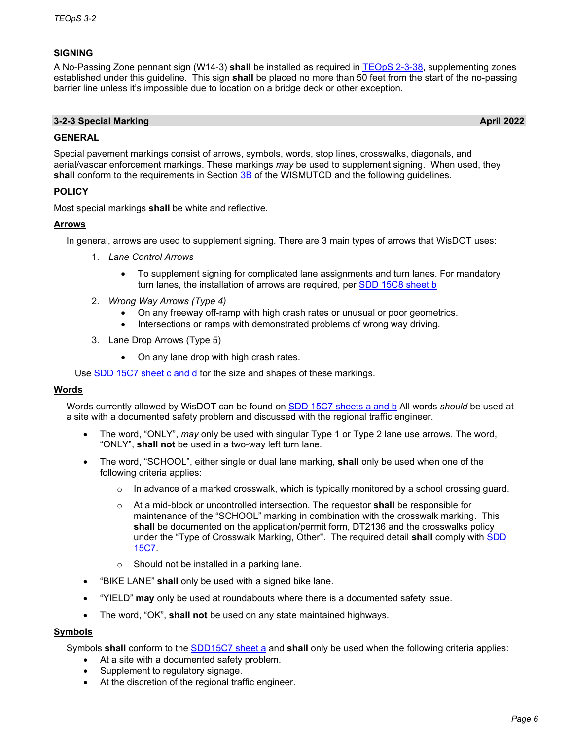# **SIGNING**

A No-Passing Zone pennant sign (W14-3) **shall** be installed as required in [TEOpS 2-3-38,](https://wisconsindot.gov/dtsdManuals/traffic-ops/manuals-and-standards/teops/02-03.pdf#2-3-38) supplementing zones established under this guideline. This sign **shall** be placed no more than 50 feet from the start of the no-passing barrier line unless it's impossible due to location on a bridge deck or other exception.

# **3-2-3 Special Marking April 2022**

# **GENERAL**

Special pavement markings consist of arrows, symbols, words, stop lines, crosswalks, diagonals, and aerial/vascar enforcement markings. These markings *may* be used to supplement signing. When used, they **shall** conform to the requirements in Section [3B](https://wisconsindot.gov/dtsdManuals/traffic-ops/manuals-and-standards/wmutcd/mutcd-ch03.pdf) of the WISMUTCD and the following guidelines.

# **POLICY**

Most special markings **shall** be white and reflective.

# **Arrows**

In general, arrows are used to supplement signing. There are 3 main types of arrows that WisDOT uses:

- 1. *Lane Control Arrows*
	- To supplement signing for complicated lane assignments and turn lanes. For mandatory turn lanes, the installation of arrows are required, per [SDD 15C8](http://wisconsindot.gov/rdwy/sdd/sd-15c08.pdf#1) sheet b
- 2. *Wrong Way Arrows (Type 4)*
	- On any freeway off-ramp with high crash rates or unusual or poor geometrics.
	- Intersections or ramps with demonstrated problems of wrong way driving.
- 3. Lane Drop Arrows (Type 5)
	- On any lane drop with high crash rates.

Use [SDD 15C7 sheet c and d](http://wisconsindot.gov/rdwy/sdd/sd-15c07.pdf#sd15c7-b) for the size and shapes of these markings.

# **Words**

Words currently allowed by WisDOT can be found on **SDD 15C7** sheets a and b All words *should* be used at a site with a documented safety problem and discussed with the regional traffic engineer.

- The word, "ONLY", *may* only be used with singular Type 1 or Type 2 lane use arrows. The word, "ONLY", **shall not** be used in a two-way left turn lane.
- The word, "SCHOOL", either single or dual lane marking, **shall** only be used when one of the following criteria applies:
	- $\circ$  In advance of a marked crosswalk, which is typically monitored by a school crossing guard.
	- o At a mid-block or uncontrolled intersection. The requestor **shall** be responsible for maintenance of the "SCHOOL" marking in combination with the crosswalk marking. This **shall** be documented on the application/permit form, DT2136 and the crosswalks policy under the "Type of Crosswalk Marking, Other". The required detail **shall** comply with [SDD](http://roadwaystandards.dot.wi.gov/standards/fdm/SDD/15c07.pdf#1)  [15C7.](http://roadwaystandards.dot.wi.gov/standards/fdm/SDD/15c07.pdf#1)
	- o Should not be installed in a parking lane.
- "BIKE LANE" **shall** only be used with a signed bike lane.
- "YIELD" **may** only be used at roundabouts where there is a documented safety issue.
- The word, "OK", **shall not** be used on any state maintained highways.

# **Symbols**

Symbols **shall** conform to the [SDD15C7 sheet a](http://wisconsindot.gov/rdwy/sdd/sd-15c07.pdf#1) and **shall** only be used when the following criteria applies:

- At a site with a documented safety problem.
- Supplement to regulatory signage.
- At the discretion of the regional traffic engineer.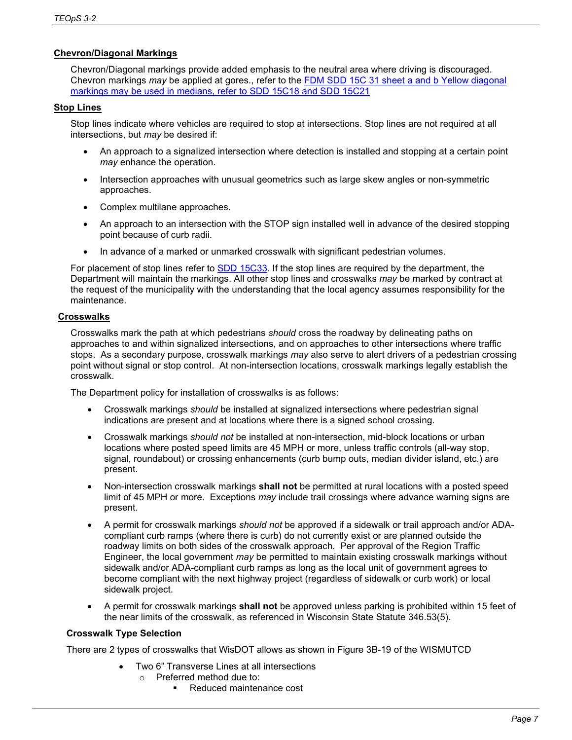# **Chevron/Diagonal Markings**

Chevron/Diagonal markings provide added emphasis to the neutral area where driving is discouraged. Chevron markings *may* be applied at gores., refer to the FDM [SDD 15C 31 sheet a and b](https://wisconsindot.gov/rdwy/sdd/sd-15c31.pdf#1) Yellow diagonal markings may be used in medians, refer to SDD 15C18 and SDD 15C21

#### **Stop Lines**

Stop lines indicate where vehicles are required to stop at intersections. Stop lines are not required at all intersections, but *may* be desired if:

- An approach to a signalized intersection where detection is installed and stopping at a certain point *may* enhance the operation.
- Intersection approaches with unusual geometrics such as large skew angles or non-symmetric approaches.
- Complex multilane approaches.
- An approach to an intersection with the STOP sign installed well in advance of the desired stopping point because of curb radii.
- In advance of a marked or unmarked crosswalk with significant pedestrian volumes.

For placement of stop lines refer to [SDD 15C33.](http://wisconsindot.gov/rdwy/sdd/sd-15c33.pdf#sd15c33) If the stop lines are required by the department, the Department will maintain the markings. All other stop lines and crosswalks *may* be marked by contract at the request of the municipality with the understanding that the local agency assumes responsibility for the maintenance.

#### **Crosswalks**

Crosswalks mark the path at which pedestrians *should* cross the roadway by delineating paths on approaches to and within signalized intersections, and on approaches to other intersections where traffic stops. As a secondary purpose, crosswalk markings *may* also serve to alert drivers of a pedestrian crossing point without signal or stop control. At non-intersection locations, crosswalk markings legally establish the crosswalk.

The Department policy for installation of crosswalks is as follows:

- Crosswalk markings *should* be installed at signalized intersections where pedestrian signal indications are present and at locations where there is a signed school crossing.
- Crosswalk markings *should not* be installed at non-intersection, mid-block locations or urban locations where posted speed limits are 45 MPH or more, unless traffic controls (all-way stop, signal, roundabout) or crossing enhancements (curb bump outs, median divider island, etc.) are present.
- Non-intersection crosswalk markings **shall not** be permitted at rural locations with a posted speed limit of 45 MPH or more. Exceptions *may* include trail crossings where advance warning signs are present.
- A permit for crosswalk markings *should not* be approved if a sidewalk or trail approach and/or ADAcompliant curb ramps (where there is curb) do not currently exist or are planned outside the roadway limits on both sides of the crosswalk approach. Per approval of the Region Traffic Engineer, the local government *may* be permitted to maintain existing crosswalk markings without sidewalk and/or ADA-compliant curb ramps as long as the local unit of government agrees to become compliant with the next highway project (regardless of sidewalk or curb work) or local sidewalk project.
- A permit for crosswalk markings **shall not** be approved unless parking is prohibited within 15 feet of the near limits of the crosswalk, as referenced in Wisconsin State Statute 346.53(5).

# **Crosswalk Type Selection**

There are 2 types of crosswalks that WisDOT allows as shown in Figure 3B-19 of the WISMUTCD

- Two 6" Transverse Lines at all intersections
	- o Preferred method due to:
		- Reduced maintenance cost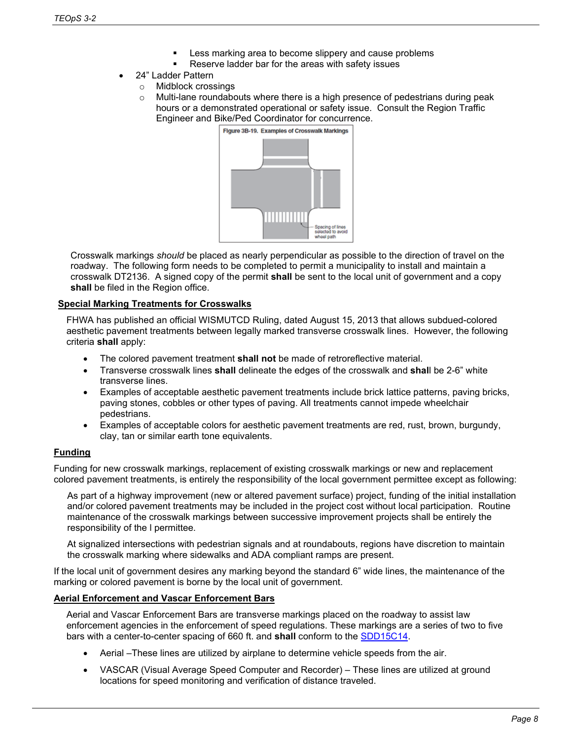- Less marking area to become slippery and cause problems
- Reserve ladder bar for the areas with safety issues
- 24" Ladder Pattern
	- o Midblock crossings
	- $\circ$  Multi-lane roundabouts where there is a high presence of pedestrians during peak hours or a demonstrated operational or safety issue. Consult the Region Traffic Engineer and Bike/Ped Coordinator for concurrence.



Crosswalk markings *should* be placed as nearly perpendicular as possible to the direction of travel on the roadway. The following form needs to be completed to permit a municipality to install and maintain a crosswalk DT2136. A signed copy of the permit **shall** be sent to the local unit of government and a copy shall be filed in the Region office.

# **Special Marking Treatments for Crosswalks**

FHWA has published an official WISMUTCD Ruling, dated August 15, 2013 that allows subdued-colored aesthetic pavement treatments between legally marked transverse crosswalk lines. However, the following criteria **shall** apply:

- The colored pavement treatment **shall not** be made of retroreflective material.
- Transverse crosswalk lines **shall** delineate the edges of the crosswalk and **shal**l be 2-6" white transverse lines.
- Examples of acceptable aesthetic pavement treatments include brick lattice patterns, paving bricks, paving stones, cobbles or other types of paving. All treatments cannot impede wheelchair pedestrians.
- Examples of acceptable colors for aesthetic pavement treatments are red, rust, brown, burgundy, clay, tan or similar earth tone equivalents.

# **Funding**

Funding for new crosswalk markings, replacement of existing crosswalk markings or new and replacement colored pavement treatments, is entirely the responsibility of the local government permittee except as following:

As part of a highway improvement (new or altered pavement surface) project, funding of the initial installation and/or colored pavement treatments may be included in the project cost without local participation. Routine maintenance of the crosswalk markings between successive improvement projects shall be entirely the responsibility of the l permittee.

At signalized intersections with pedestrian signals and at roundabouts, regions have discretion to maintain the crosswalk marking where sidewalks and ADA compliant ramps are present.

If the local unit of government desires any marking beyond the standard 6" wide lines, the maintenance of the marking or colored pavement is borne by the local unit of government.

# **Aerial Enforcement and Vascar Enforcement Bars**

Aerial and Vascar Enforcement Bars are transverse markings placed on the roadway to assist law enforcement agencies in the enforcement of speed regulations. These markings are a series of two to five bars with a center-to-center spacing of 660 ft. and **shall** conform to the [SDD15C14.](http://wisconsindot.gov/rdwy/sdd/sd-15c14.pdf#sd15c14)

- Aerial –These lines are utilized by airplane to determine vehicle speeds from the air.
- VASCAR (Visual Average Speed Computer and Recorder) These lines are utilized at ground locations for speed monitoring and verification of distance traveled.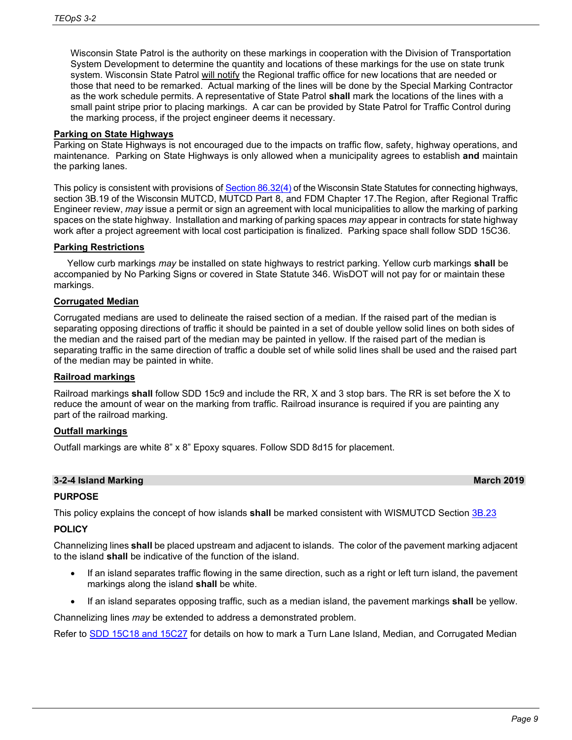Wisconsin State Patrol is the authority on these markings in cooperation with the Division of Transportation System Development to determine the quantity and locations of these markings for the use on state trunk system. Wisconsin State Patrol will notify the Regional traffic office for new locations that are needed or those that need to be remarked. Actual marking of the lines will be done by the Special Marking Contractor as the work schedule permits. A representative of State Patrol **shall** mark the locations of the lines with a small paint stripe prior to placing markings. A car can be provided by State Patrol for Traffic Control during the marking process, if the project engineer deems it necessary.

#### **Parking on State Highways**

Parking on State Highways is not encouraged due to the impacts on traffic flow, safety, highway operations, and maintenance. Parking on State Highways is only allowed when a municipality agrees to establish **and** maintain the parking lanes.

This policy is consistent with provisions o[f Section 86.32\(4\)](https://docs.legis.wisconsin.gov/statutes/statutes/86/32) of the Wisconsin State Statutes for connecting highways, section 3B.19 of the Wisconsin MUTCD, MUTCD Part 8, and FDM Chapter 17.The Region, after Regional Traffic Engineer review, *may* issue a permit or sign an agreement with local municipalities to allow the marking of parking spaces on the state highway. Installation and marking of parking spaces *may* appear in contracts for state highway work after a project agreement with local cost participation is finalized. Parking space shall follow SDD 15C36.

#### **Parking Restrictions**

Yellow curb markings *may* be installed on state highways to restrict parking. Yellow curb markings **shall** be accompanied by No Parking Signs or covered in State Statute 346. WisDOT will not pay for or maintain these markings.

# **Corrugated Median**

Corrugated medians are used to delineate the raised section of a median. If the raised part of the median is separating opposing directions of traffic it should be painted in a set of double yellow solid lines on both sides of the median and the raised part of the median may be painted in yellow. If the raised part of the median is separating traffic in the same direction of traffic a double set of while solid lines shall be used and the raised part of the median may be painted in white.

#### **Railroad markings**

Railroad markings **shall** follow SDD 15c9 and include the RR, X and 3 stop bars. The RR is set before the X to reduce the amount of wear on the marking from traffic. Railroad insurance is required if you are painting any part of the railroad marking.

#### **Outfall markings**

Outfall markings are white 8" x 8" Epoxy squares. Follow SDD 8d15 for placement.

# **3-2-4 Island Marking March 2019**

# **PURPOSE**

This policy explains the concept of how islands **shall** be marked consistent with WISMUTCD Section [3B.23](https://wisconsindot.gov/dtsdManuals/traffic-ops/manuals-and-standards/wmutcd/mutcd-ch03.pdf)

# **POLICY**

Channelizing lines **shall** be placed upstream and adjacent to islands. The color of the pavement marking adjacent to the island **shall** be indicative of the function of the island.

- If an island separates traffic flowing in the same direction, such as a right or left turn island, the pavement markings along the island **shall** be white.
- If an island separates opposing traffic, such as a median island, the pavement markings **shall** be yellow.

Channelizing lines *may* be extended to address a demonstrated problem.

Refer to [SDD 15C18](https://wisconsindot.gov/rdwy/sdd/sd-15c18.pdf#sd15c18) and 15C27 for details on how to mark a Turn Lane Island, Median, and Corrugated Median